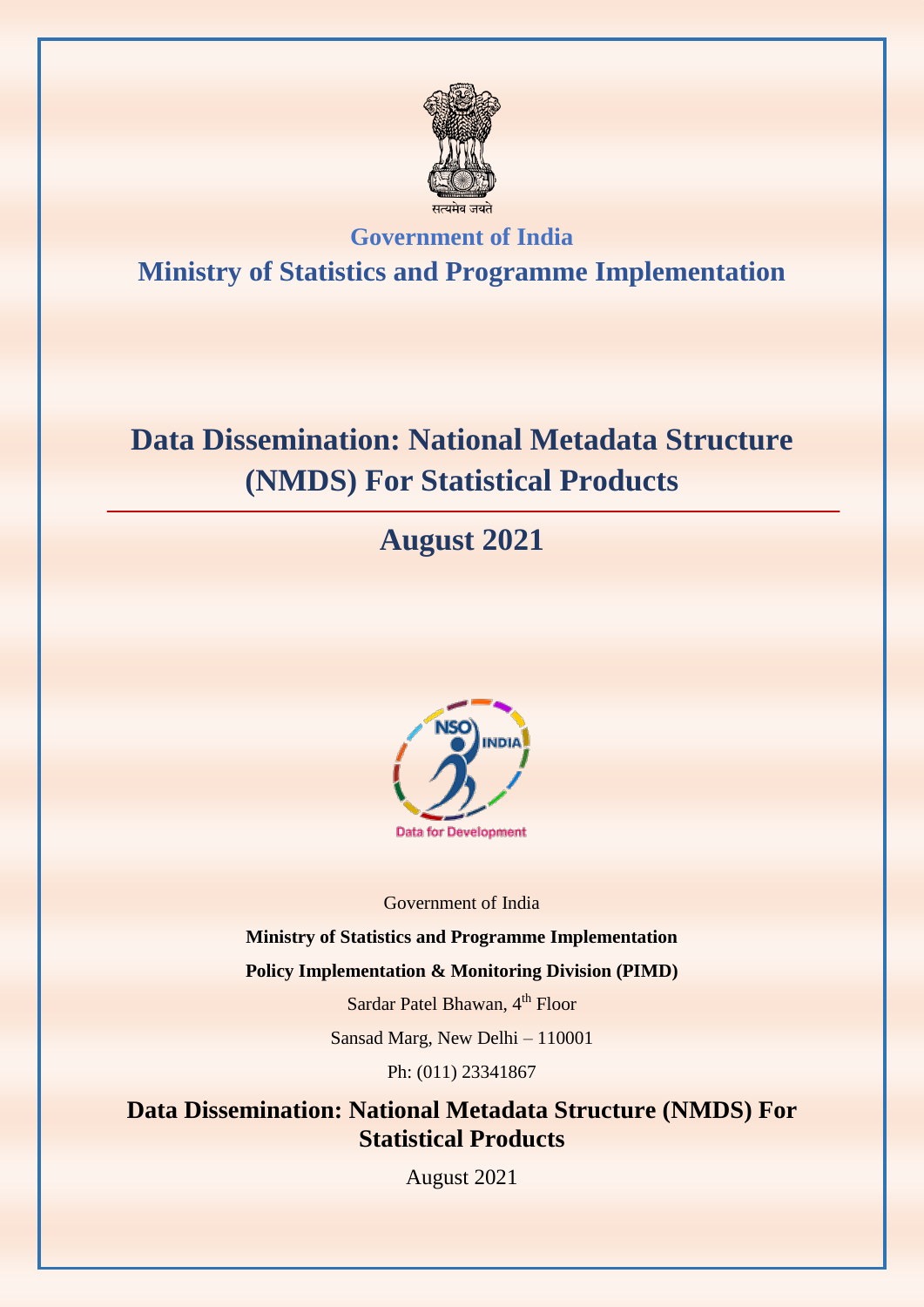

## **Government of India Ministry of Statistics and Programme Implementation**

# **Data Dissemination: National Metadata Structure (NMDS) For Statistical Products**

# **August 2021**



Government of India

**Ministry of Statistics and Programme Implementation** 

**Policy Implementation & Monitoring Division (PIMD)** 

Sardar Patel Bhawan, 4<sup>th</sup> Floor

Sansad Marg, New Delhi – 110001

Ph: (011) 23341867

### **Data Dissemination: National Metadata Structure (NMDS) For Statistical Products**

August 2021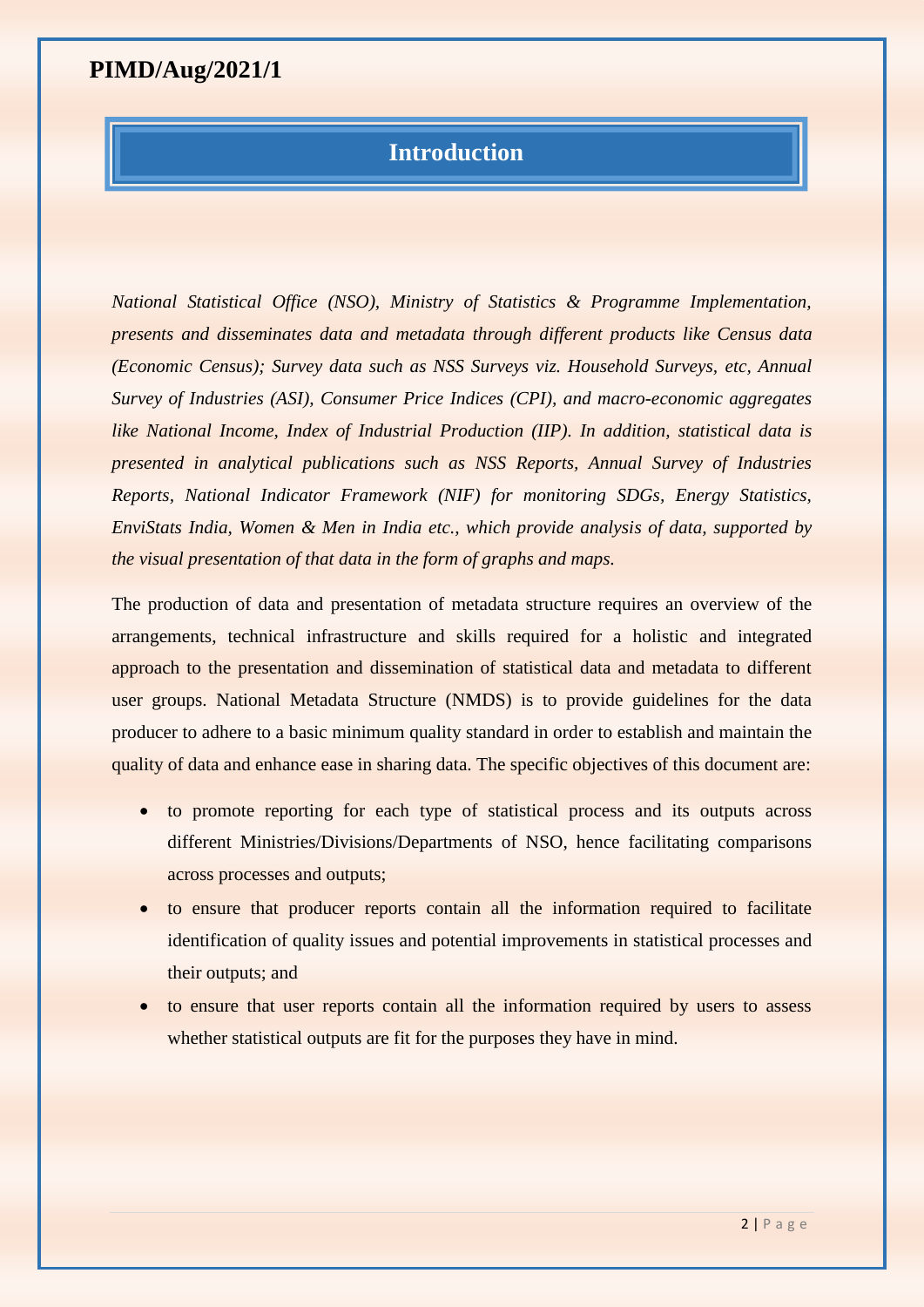#### **Introduction**

*National Statistical Office (NSO), Ministry of Statistics & Programme Implementation, presents and disseminates data and metadata through different products like Census data (Economic Census); Survey data such as NSS Surveys viz. Household Surveys, etc, Annual Survey of Industries (ASI), Consumer Price Indices (CPI), and macro-economic aggregates like National Income, Index of Industrial Production (IIP). In addition, statistical data is presented in analytical publications such as NSS Reports, Annual Survey of Industries Reports, National Indicator Framework (NIF) for monitoring SDGs, Energy Statistics, EnviStats India, Women & Men in India etc., which provide analysis of data, supported by the visual presentation of that data in the form of graphs and maps.*

The production of data and presentation of metadata structure requires an overview of the arrangements, technical infrastructure and skills required for a holistic and integrated approach to the presentation and dissemination of statistical data and metadata to different user groups. National Metadata Structure (NMDS) is to provide guidelines for the data producer to adhere to a basic minimum quality standard in order to establish and maintain the quality of data and enhance ease in sharing data. The specific objectives of this document are:

- to promote reporting for each type of statistical process and its outputs across different Ministries/Divisions/Departments of NSO, hence facilitating comparisons across processes and outputs;
- to ensure that producer reports contain all the information required to facilitate identification of quality issues and potential improvements in statistical processes and their outputs; and
- to ensure that user reports contain all the information required by users to assess whether statistical outputs are fit for the purposes they have in mind.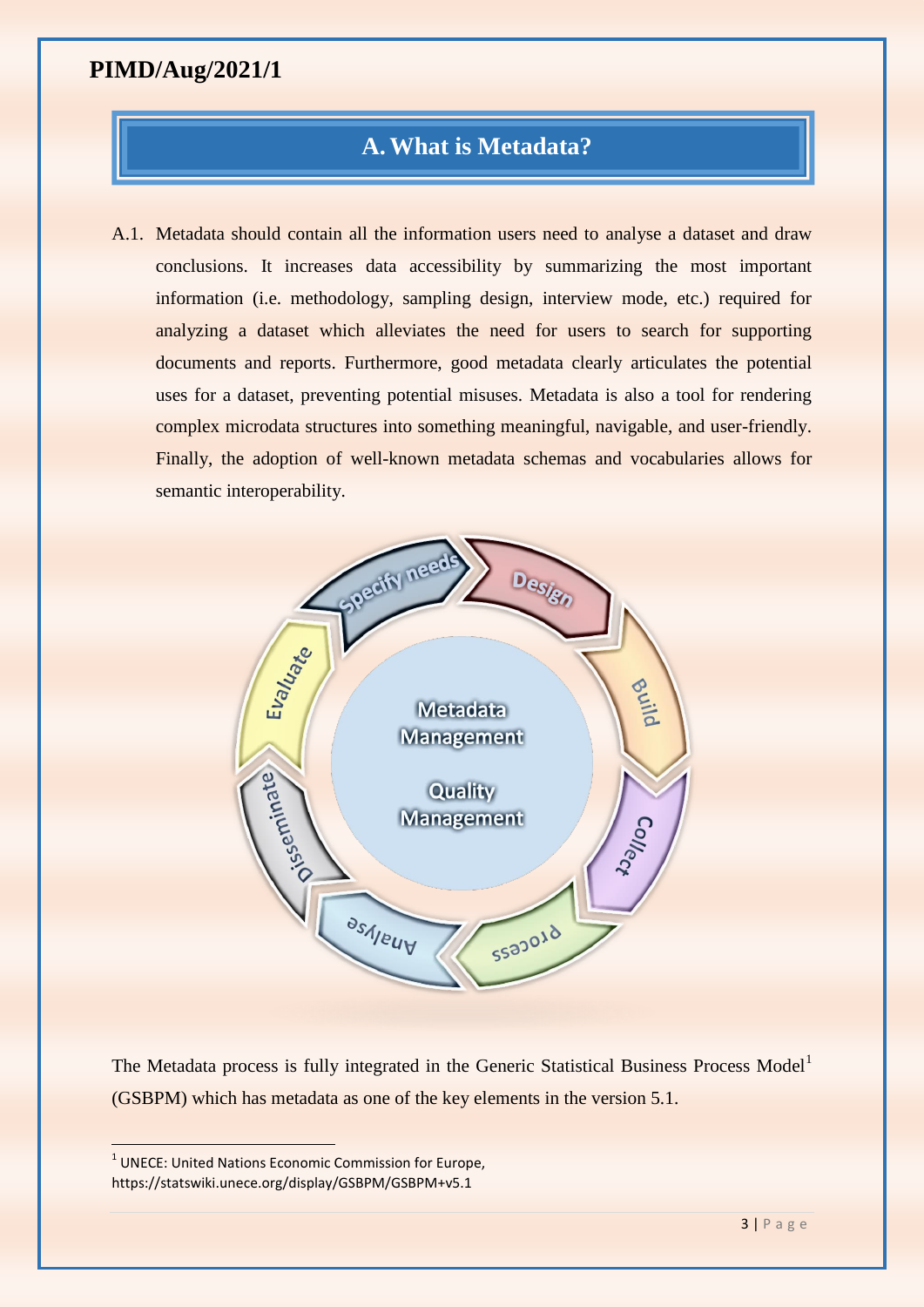#### **A.What is Metadata?**

A.1. Metadata should contain all the information users need to analyse a dataset and draw conclusions. It increases data accessibility by summarizing the most important information (i.e. methodology, sampling design, interview mode, etc.) required for analyzing a dataset which alleviates the need for users to search for supporting documents and reports. Furthermore, good metadata clearly articulates the potential uses for a dataset, preventing potential misuses. Metadata is also a tool for rendering complex microdata structures into something meaningful, navigable, and user-friendly. Finally, the adoption of well-known metadata schemas and vocabularies allows for semantic interoperability.



The Metadata process is fully integrated in the Generic Statistical Business Process Model<sup>1</sup> (GSBPM) which has metadata as one of the key elements in the version 5.1.

 $\overline{a}$ 

<sup>&</sup>lt;sup>1</sup> UNECE: United Nations Economic Commission for Europe, https://statswiki.unece.org/display/GSBPM/GSBPM+v5.1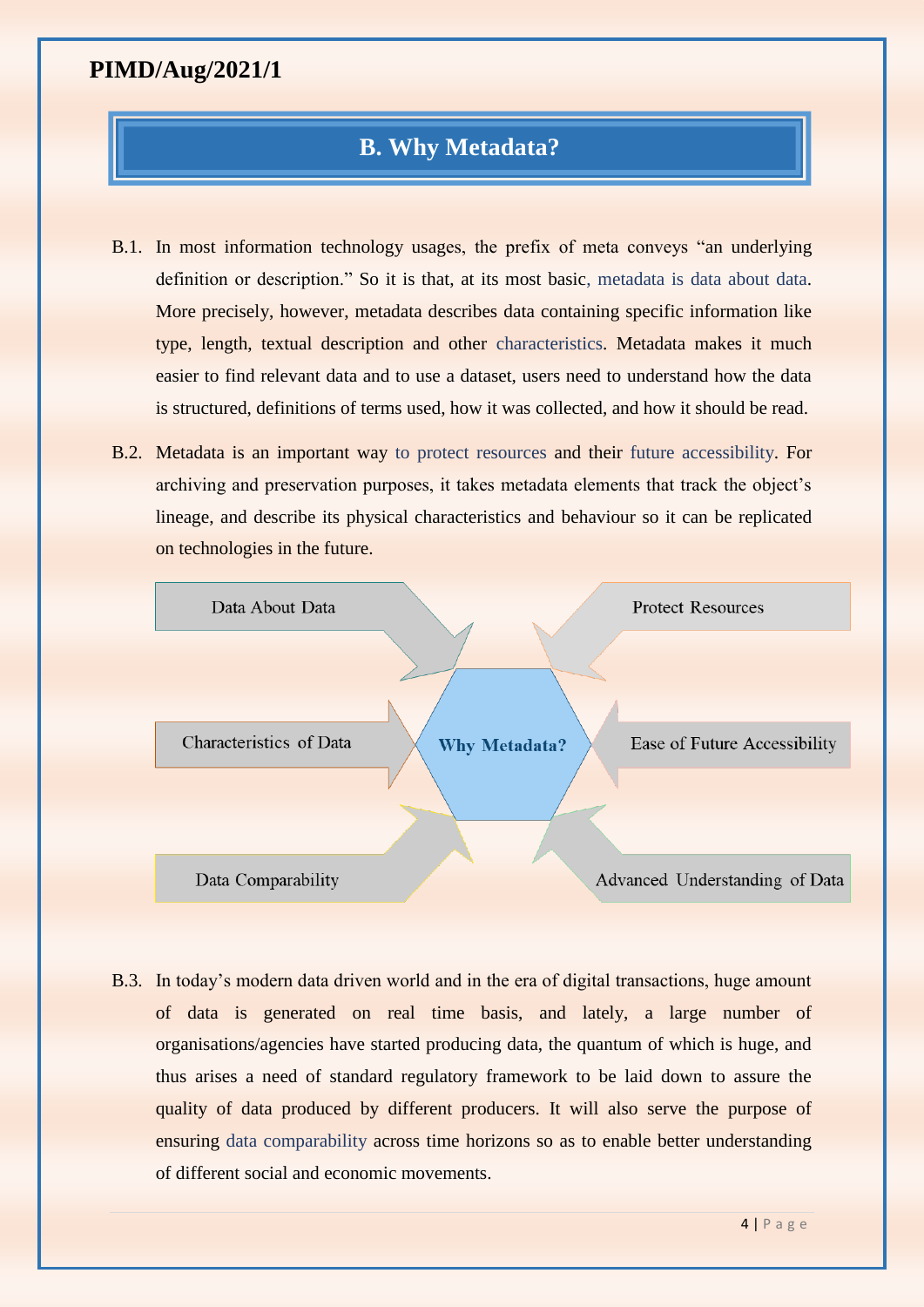#### **B. Why Metadata?**

- B.1. In most information technology usages, the prefix of meta conveys "an underlying definition or description." So it is that, at its most basic, metadata is data about data. More precisely, however, metadata describes data containing specific information like type, length, textual description and other characteristics. Metadata makes it much easier to find relevant data and to use a dataset, users need to understand how the data is structured, definitions of terms used, how it was collected, and how it should be read.
- B.2. Metadata is an important way to protect resources and their future accessibility. For archiving and preservation purposes, it takes metadata elements that track the object's lineage, and describe its physical characteristics and behaviour so it can be replicated on technologies in the future.



B.3. In today's modern data driven world and in the era of digital transactions, huge amount of data is generated on real time basis, and lately, a large number of organisations/agencies have started producing data, the quantum of which is huge, and thus arises a need of standard regulatory framework to be laid down to assure the quality of data produced by different producers. It will also serve the purpose of ensuring data comparability across time horizons so as to enable better understanding of different social and economic movements.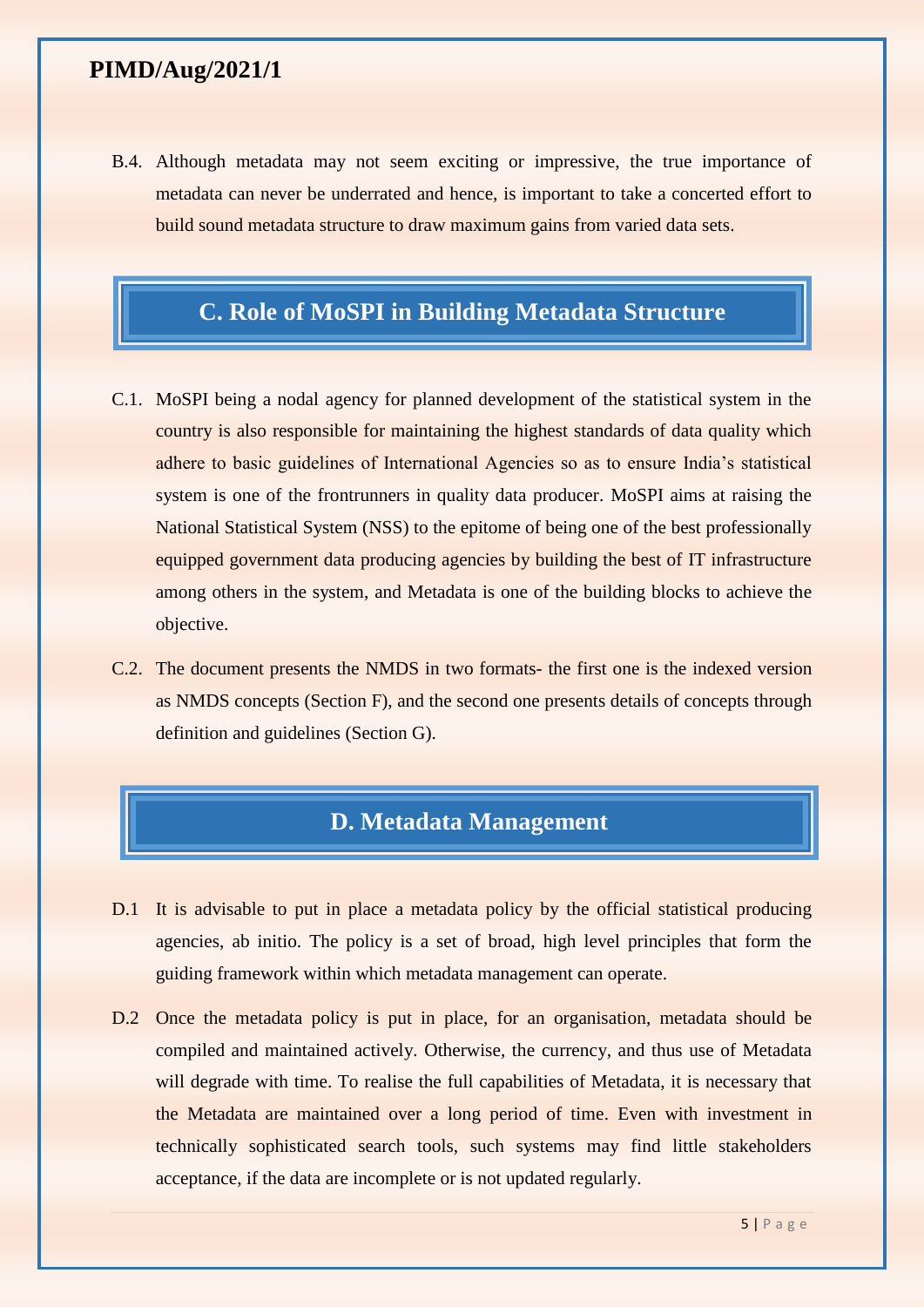B.4. Although metadata may not seem exciting or impressive, the true importance of metadata can never be underrated and hence, is important to take a concerted effort to build sound metadata structure to draw maximum gains from varied data sets.

### **C. Role of MoSPI in Building Metadata Structure**

- C.1. MoSPI being a nodal agency for planned development of the statistical system in the country is also responsible for maintaining the highest standards of data quality which adhere to basic guidelines of International Agencies so as to ensure India's statistical system is one of the frontrunners in quality data producer. MoSPI aims at raising the National Statistical System (NSS) to the epitome of being one of the best professionally equipped government data producing agencies by building the best of IT infrastructure among others in the system, and Metadata is one of the building blocks to achieve the objective.
- C.2. The document presents the NMDS in two formats- the first one is the indexed version as NMDS concepts (Section F), and the second one presents details of concepts through definition and guidelines (Section G).

### **D. Metadata Management**

- D.1 It is advisable to put in place a metadata policy by the official statistical producing agencies, ab initio. The policy is a set of broad, high level principles that form the guiding framework within which metadata management can operate.
- D.2 Once the metadata policy is put in place, for an organisation, metadata should be compiled and maintained actively. Otherwise, the currency, and thus use of Metadata will degrade with time. To realise the full capabilities of Metadata, it is necessary that the Metadata are maintained over a long period of time. Even with investment in technically sophisticated search tools, such systems may find little stakeholders acceptance, if the data are incomplete or is not updated regularly.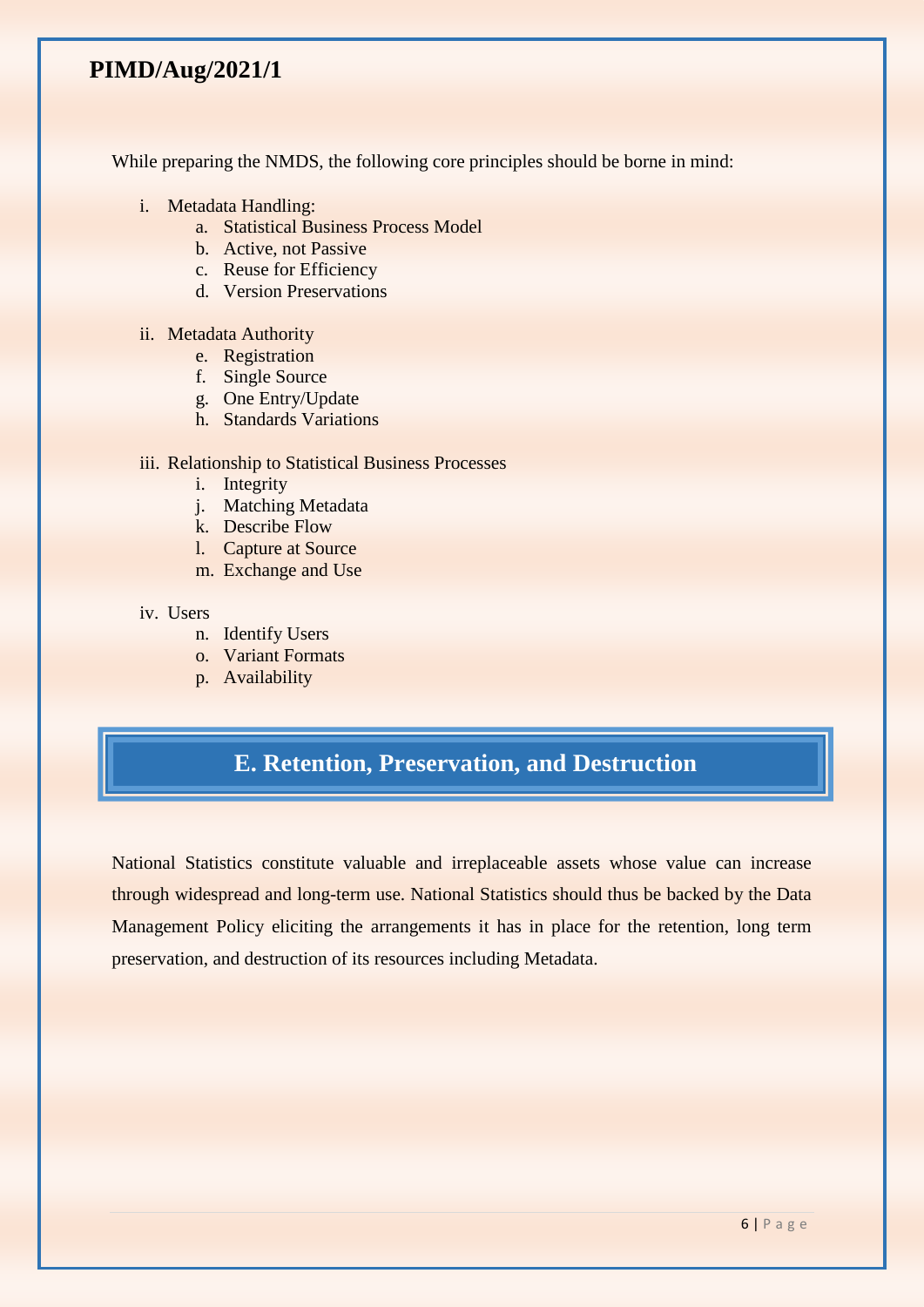While preparing the NMDS, the following core principles should be borne in mind:

- i. Metadata Handling:
	- a. Statistical Business Process Model
	- b. Active, not Passive
	- c. Reuse for Efficiency
	- d. Version Preservations

#### ii. Metadata Authority

- e. Registration
- f. Single Source
- g. One Entry/Update
- h. Standards Variations

#### iii. Relationship to Statistical Business Processes

- i. Integrity
- j. Matching Metadata
- k. Describe Flow
- l. Capture at Source
- m. Exchange and Use

#### iv. Users

- n. Identify Users
- o. Variant Formats
- p. Availability

### **E. Retention, Preservation, and Destruction**

National Statistics constitute valuable and irreplaceable assets whose value can increase through widespread and long-term use. National Statistics should thus be backed by the Data Management Policy eliciting the arrangements it has in place for the retention, long term preservation, and destruction of its resources including Metadata.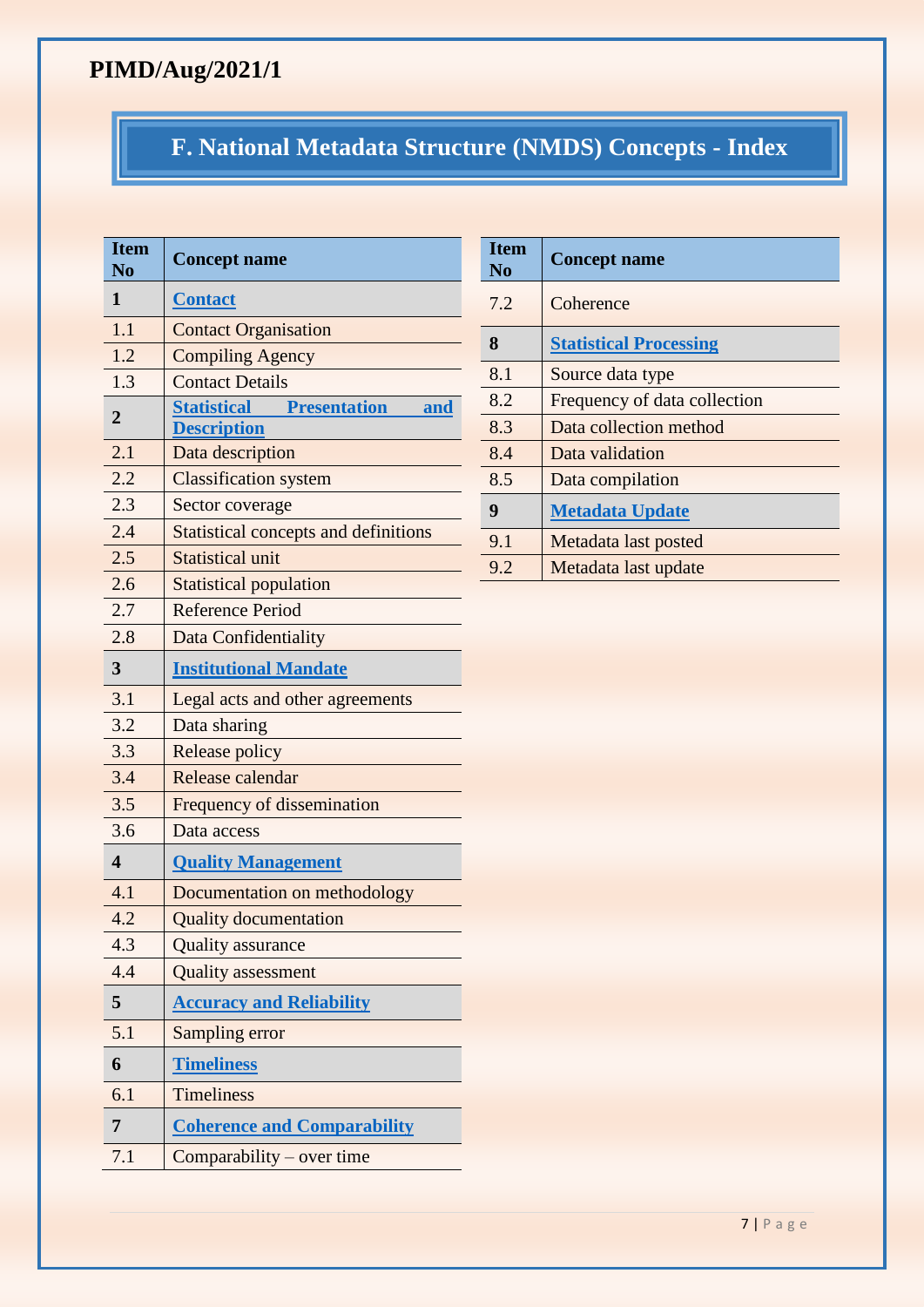## **F. National Metadata Structure (NMDS) Concepts - Index**

| <b>Item</b><br>N <sub>o</sub> | <b>Concept name</b>                                                 |  |  |
|-------------------------------|---------------------------------------------------------------------|--|--|
| 1                             | <b>Contact</b>                                                      |  |  |
| 1.1                           | <b>Contact Organisation</b>                                         |  |  |
| 1.2                           | <b>Compiling Agency</b>                                             |  |  |
| 1.3                           | <b>Contact Details</b>                                              |  |  |
| $\overline{2}$                | <b>Statistical Presentation</b><br><u>and</u><br><b>Description</b> |  |  |
| 2.1                           | Data description                                                    |  |  |
| 2.2                           | <b>Classification system</b>                                        |  |  |
| 2.3                           | Sector coverage                                                     |  |  |
| 2.4                           | <b>Statistical concepts and definitions</b>                         |  |  |
| 2.5                           | <b>Statistical unit</b>                                             |  |  |
| 2.6                           | <b>Statistical population</b>                                       |  |  |
| 2.7                           | <b>Reference Period</b>                                             |  |  |
| 2.8                           | Data Confidentiality                                                |  |  |
| 3                             | <b>Institutional Mandate</b>                                        |  |  |
| 3.1                           | Legal acts and other agreements                                     |  |  |
| 3.2                           | Data sharing                                                        |  |  |
| 3.3                           | Release policy                                                      |  |  |
| 3.4                           | Release calendar                                                    |  |  |
| 3.5                           | Frequency of dissemination                                          |  |  |
| 3.6                           | Data access                                                         |  |  |
| $\overline{\mathbf{4}}$       | <b>Quality Management</b>                                           |  |  |
| 4.1                           | Documentation on methodology                                        |  |  |
| 4.2                           | <b>Quality documentation</b>                                        |  |  |
| 4.3                           | <b>Quality</b> assurance                                            |  |  |
| 4.4                           | <b>Quality</b> assessment                                           |  |  |
| 5                             | <b>Accuracy and Reliability</b>                                     |  |  |
| 5.1                           | Sampling error                                                      |  |  |
| 6                             | <b>Timeliness</b>                                                   |  |  |
| 6.1                           | <b>Timeliness</b>                                                   |  |  |
| $\overline{7}$                | <b>Coherence and Comparability</b>                                  |  |  |
| 7.1                           | $Comparability - over time$                                         |  |  |

| <b>T</b> tem<br>N <sub>0</sub> | <b>Concept name</b>           |
|--------------------------------|-------------------------------|
| 7.2                            | Coherence                     |
| 8                              | <b>Statistical Processing</b> |
| 8.1                            | Source data type              |
| 8.2                            | Frequency of data collection  |
| 8.3                            | Data collection method        |
| 8.4                            | Data validation               |
| 8.5                            | Data compilation              |
| 9                              | <b>Metadata Update</b>        |
| 9.1                            | Metadata last posted          |
| 9.2                            | Metadata last update          |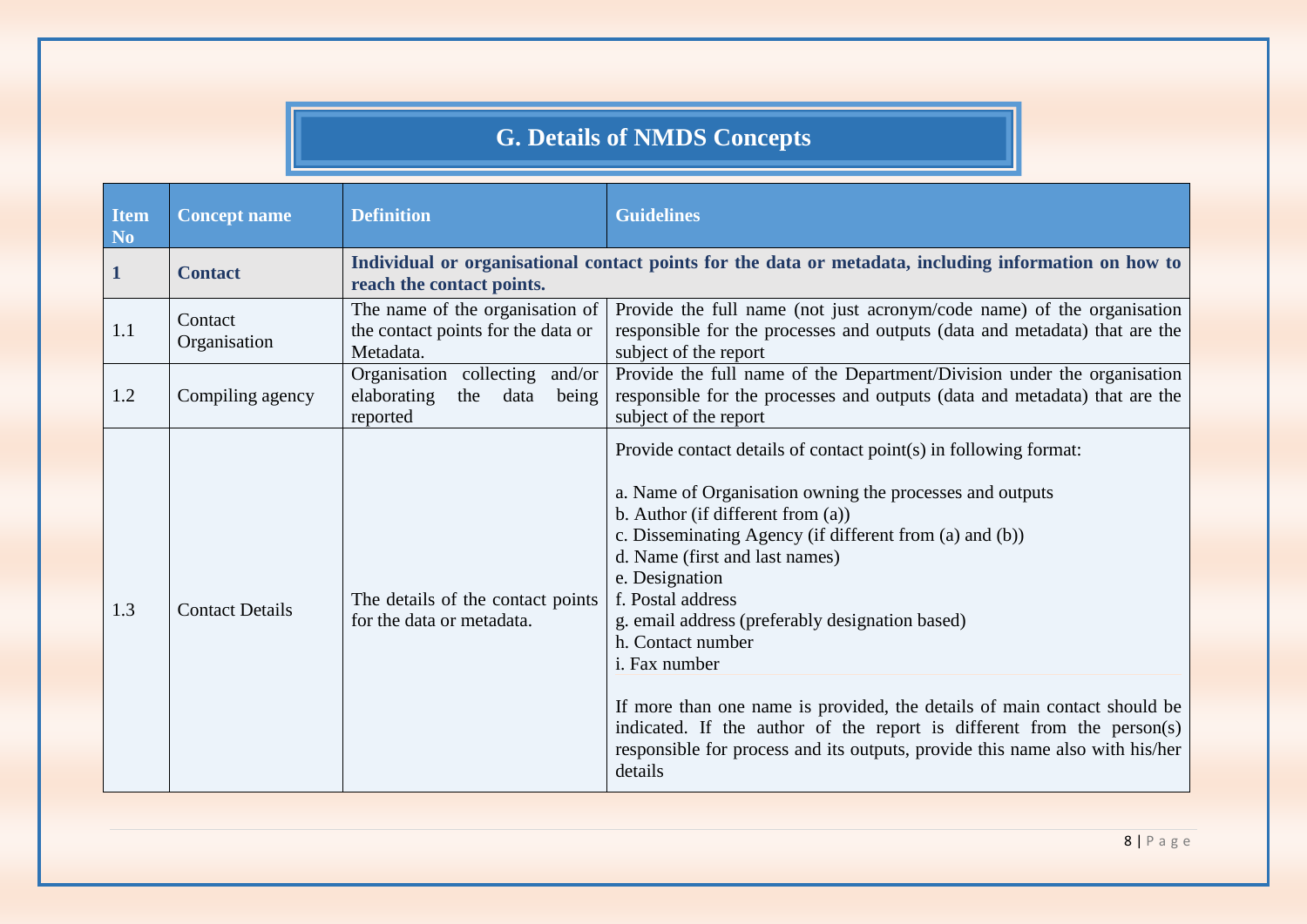## **G. Details of NMDS Concepts**

<span id="page-7-0"></span>

| <b>Item</b><br>N <sub>o</sub> | <b>Concept name</b>     | <b>Definition</b>                                                                  | <b>Guidelines</b>                                                                                                                                                                                                                                                                                                                                                                                                                                                                                                                                                                                                                                          |
|-------------------------------|-------------------------|------------------------------------------------------------------------------------|------------------------------------------------------------------------------------------------------------------------------------------------------------------------------------------------------------------------------------------------------------------------------------------------------------------------------------------------------------------------------------------------------------------------------------------------------------------------------------------------------------------------------------------------------------------------------------------------------------------------------------------------------------|
| $\mathbf 1$                   | <b>Contact</b>          | reach the contact points.                                                          | Individual or organisational contact points for the data or metadata, including information on how to                                                                                                                                                                                                                                                                                                                                                                                                                                                                                                                                                      |
| 1.1                           | Contact<br>Organisation | The name of the organisation of<br>the contact points for the data or<br>Metadata. | Provide the full name (not just acronym/code name) of the organisation<br>responsible for the processes and outputs (data and metadata) that are the<br>subject of the report                                                                                                                                                                                                                                                                                                                                                                                                                                                                              |
| 1.2                           | Compiling agency        | Organisation collecting and/or<br>elaborating<br>the<br>data<br>being<br>reported  | Provide the full name of the Department/Division under the organisation<br>responsible for the processes and outputs (data and metadata) that are the<br>subject of the report                                                                                                                                                                                                                                                                                                                                                                                                                                                                             |
| 1.3                           | <b>Contact Details</b>  | The details of the contact points<br>for the data or metadata.                     | Provide contact details of contact point(s) in following format:<br>a. Name of Organisation owning the processes and outputs<br>b. Author (if different from $(a)$ )<br>c. Disseminating Agency (if different from (a) and (b))<br>d. Name (first and last names)<br>e. Designation<br>f. Postal address<br>g. email address (preferably designation based)<br>h. Contact number<br><i>i</i> . Fax number<br>If more than one name is provided, the details of main contact should be<br>indicated. If the author of the report is different from the person(s)<br>responsible for process and its outputs, provide this name also with his/her<br>details |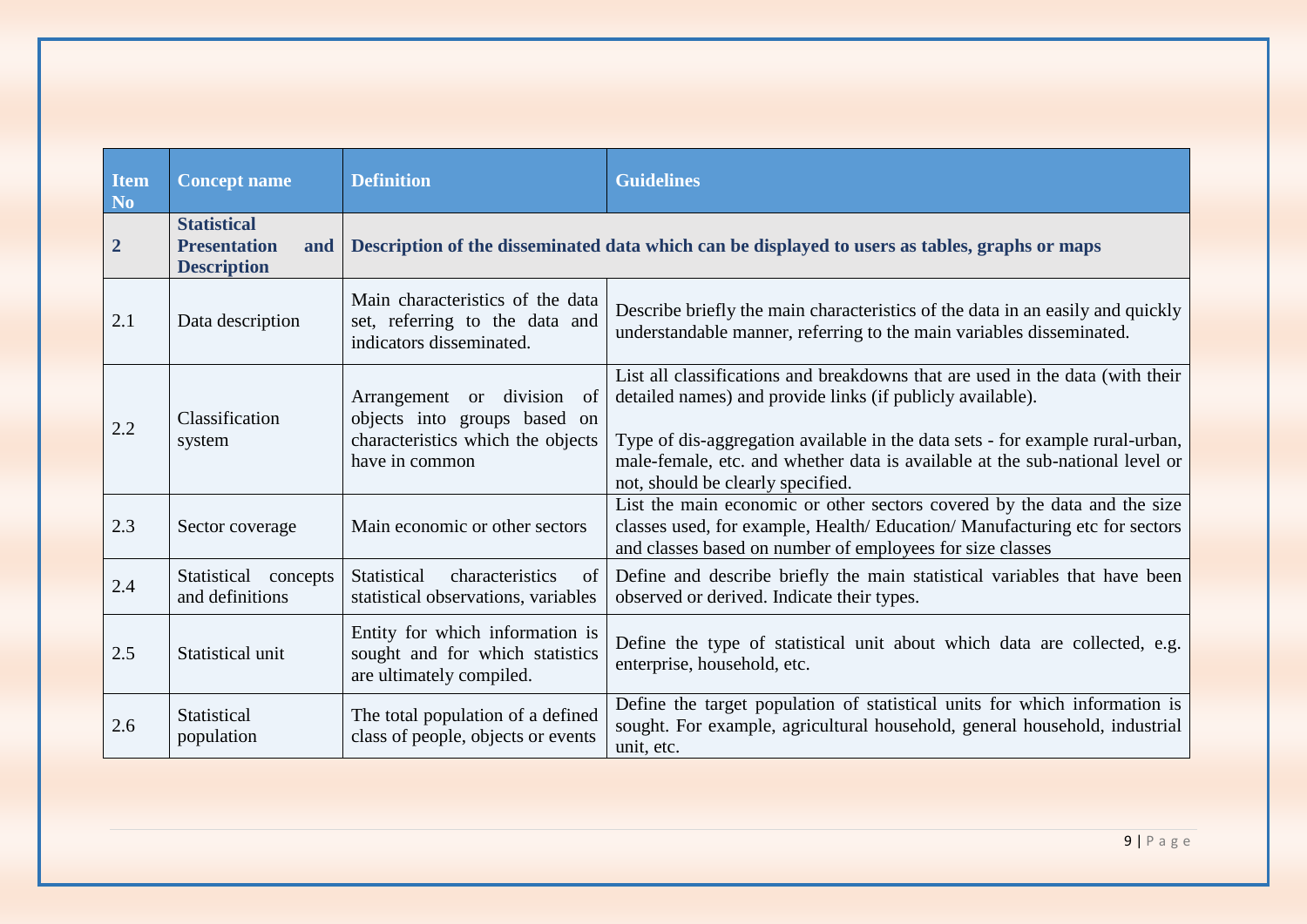<span id="page-8-0"></span>

| <b>Item</b><br>N <sub>o</sub> | <b>Concept name</b>                                                    | <b>Definition</b>                                                                                                               | <b>Guidelines</b>                                                                                                                                                                                                                                                                                                                                 |
|-------------------------------|------------------------------------------------------------------------|---------------------------------------------------------------------------------------------------------------------------------|---------------------------------------------------------------------------------------------------------------------------------------------------------------------------------------------------------------------------------------------------------------------------------------------------------------------------------------------------|
| $\overline{2}$                | <b>Statistical</b><br><b>Presentation</b><br>and<br><b>Description</b> | Description of the disseminated data which can be displayed to users as tables, graphs or maps                                  |                                                                                                                                                                                                                                                                                                                                                   |
| 2.1                           | Data description                                                       | Main characteristics of the data<br>set, referring to the data and<br>indicators disseminated.                                  | Describe briefly the main characteristics of the data in an easily and quickly<br>understandable manner, referring to the main variables disseminated.                                                                                                                                                                                            |
| 2.2                           | Classification<br>system                                               | Arrangement or division<br><sub>of</sub><br>objects into groups based on<br>characteristics which the objects<br>have in common | List all classifications and breakdowns that are used in the data (with their<br>detailed names) and provide links (if publicly available).<br>Type of dis-aggregation available in the data sets - for example rural-urban,<br>male-female, etc. and whether data is available at the sub-national level or<br>not, should be clearly specified. |
| 2.3                           | Sector coverage                                                        | Main economic or other sectors                                                                                                  | List the main economic or other sectors covered by the data and the size<br>classes used, for example, Health/Education/Manufacturing etc for sectors<br>and classes based on number of employees for size classes                                                                                                                                |
| 2.4                           | Statistical concepts<br>and definitions                                | <b>Statistical</b><br>characteristics<br>of<br>statistical observations, variables                                              | Define and describe briefly the main statistical variables that have been<br>observed or derived. Indicate their types.                                                                                                                                                                                                                           |
| 2.5                           | Statistical unit                                                       | Entity for which information is<br>sought and for which statistics<br>are ultimately compiled.                                  | Define the type of statistical unit about which data are collected, e.g.<br>enterprise, household, etc.                                                                                                                                                                                                                                           |
| 2.6                           | Statistical<br>population                                              | The total population of a defined<br>class of people, objects or events                                                         | Define the target population of statistical units for which information is<br>sought. For example, agricultural household, general household, industrial<br>unit, etc.                                                                                                                                                                            |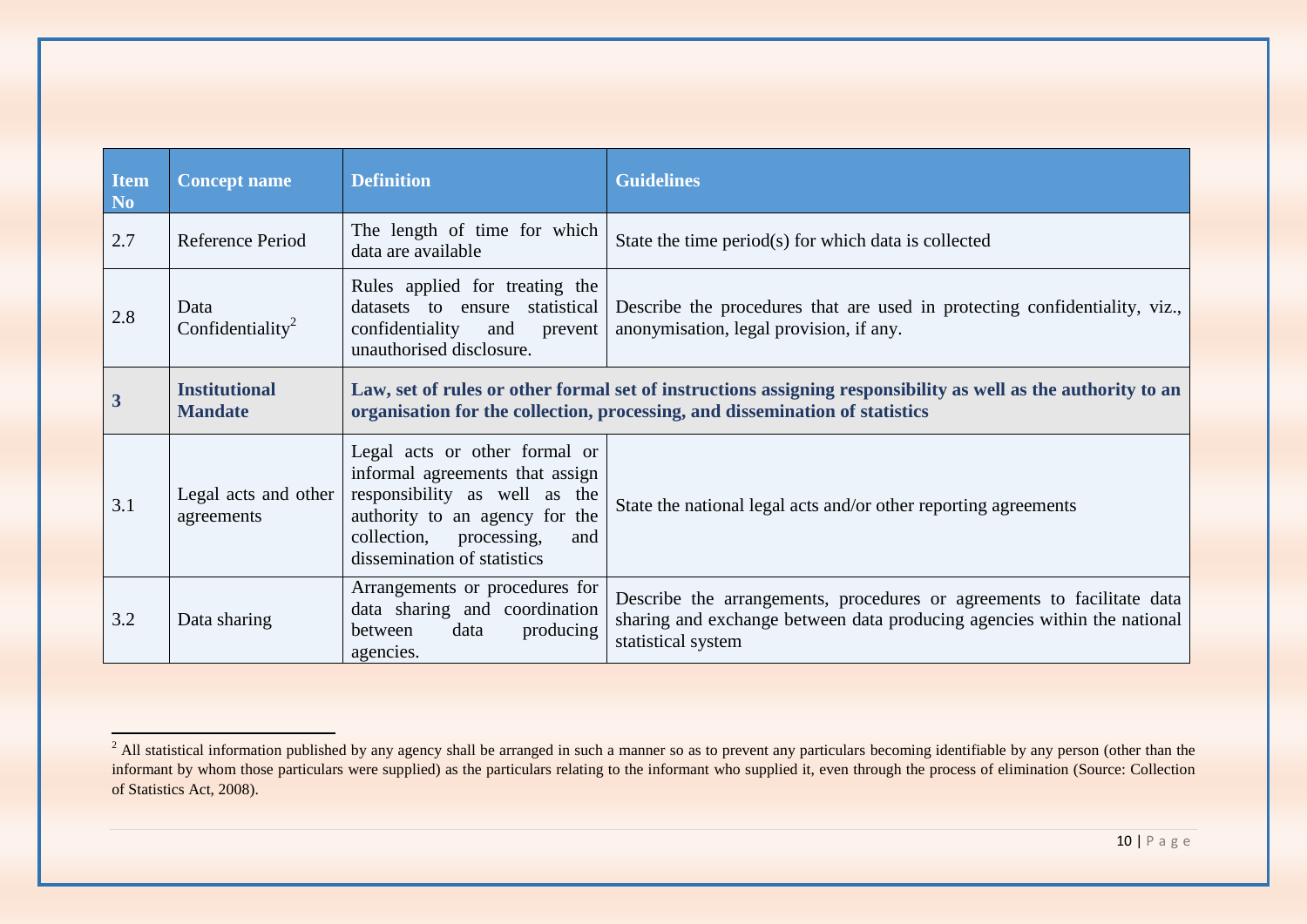| <b>Item</b><br>N <sub>0</sub> | <b>Concept name</b>                    | <b>Definition</b>                                                                                                                                                                                    | <b>Guidelines</b>                                                                                                                                                        |
|-------------------------------|----------------------------------------|------------------------------------------------------------------------------------------------------------------------------------------------------------------------------------------------------|--------------------------------------------------------------------------------------------------------------------------------------------------------------------------|
| 2.7                           | Reference Period                       | The length of time for which<br>data are available                                                                                                                                                   | State the time period(s) for which data is collected                                                                                                                     |
| 2.8                           | Data<br>Confidentiality <sup>2</sup>   | Rules applied for treating the<br>datasets to ensure statistical<br>confidentiality<br>and<br>prevent<br>unauthorised disclosure.                                                                    | Describe the procedures that are used in protecting confidentiality, viz.,<br>anonymisation, legal provision, if any.                                                    |
| 3                             | <b>Institutional</b><br><b>Mandate</b> | Law, set of rules or other formal set of instructions assigning responsibility as well as the authority to an<br>organisation for the collection, processing, and dissemination of statistics        |                                                                                                                                                                          |
| 3.1                           | Legal acts and other<br>agreements     | Legal acts or other formal or<br>informal agreements that assign<br>responsibility as well as the<br>authority to an agency for the<br>collection, processing,<br>and<br>dissemination of statistics | State the national legal acts and/or other reporting agreements                                                                                                          |
| 3.2                           | Data sharing                           | Arrangements or procedures for<br>data sharing and coordination<br>data<br>producing<br>between<br>agencies.                                                                                         | Describe the arrangements, procedures or agreements to facilitate data<br>sharing and exchange between data producing agencies within the national<br>statistical system |

 $\overline{a}$ 

<span id="page-9-0"></span> $^{2}$  All statistical information published by any agency shall be arranged in such a manner so as to prevent any particulars becoming identifiable by any person (other than the informant by whom those particulars were supplied) as the particulars relating to the informant who supplied it, even through the process of elimination (Source: Collection of Statistics Act, 2008).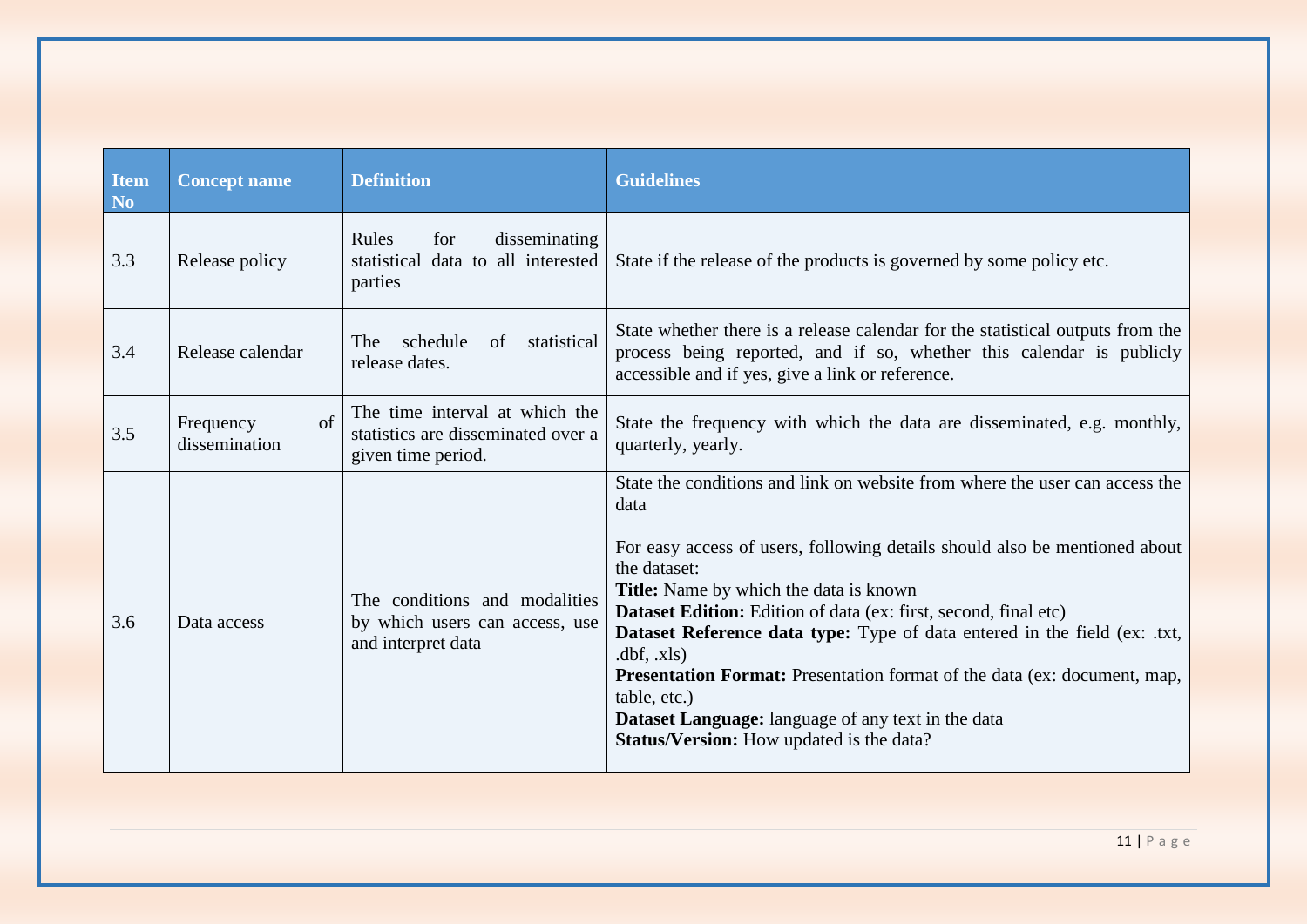| <b>Item</b><br>N <sub>0</sub> | <b>Concept name</b>                    | <b>Definition</b>                                                                          | <b>Guidelines</b>                                                                                                                                                                                                                                                                                                                                                                                                                                                                                                                                                                                                  |
|-------------------------------|----------------------------------------|--------------------------------------------------------------------------------------------|--------------------------------------------------------------------------------------------------------------------------------------------------------------------------------------------------------------------------------------------------------------------------------------------------------------------------------------------------------------------------------------------------------------------------------------------------------------------------------------------------------------------------------------------------------------------------------------------------------------------|
| 3.3                           | Release policy                         | Rules<br>disseminating<br>for<br>statistical data to all interested<br>parties             | State if the release of the products is governed by some policy etc.                                                                                                                                                                                                                                                                                                                                                                                                                                                                                                                                               |
| 3.4                           | Release calendar                       | schedule<br>statistical<br>of<br>The<br>release dates.                                     | State whether there is a release calendar for the statistical outputs from the<br>process being reported, and if so, whether this calendar is publicly<br>accessible and if yes, give a link or reference.                                                                                                                                                                                                                                                                                                                                                                                                         |
| 3.5                           | $\sigma$<br>Frequency<br>dissemination | The time interval at which the<br>statistics are disseminated over a<br>given time period. | State the frequency with which the data are disseminated, e.g. monthly,<br>quarterly, yearly.                                                                                                                                                                                                                                                                                                                                                                                                                                                                                                                      |
| 3.6                           | Data access                            | The conditions and modalities<br>by which users can access, use<br>and interpret data      | State the conditions and link on website from where the user can access the<br>data<br>For easy access of users, following details should also be mentioned about<br>the dataset:<br><b>Title:</b> Name by which the data is known<br>Dataset Edition: Edition of data (ex: first, second, final etc)<br>Dataset Reference data type: Type of data entered in the field (ex: .txt,<br>dbf, xls)<br><b>Presentation Format:</b> Presentation format of the data (ex: document, map,<br>table, etc.)<br><b>Dataset Language:</b> language of any text in the data<br><b>Status/Version:</b> How updated is the data? |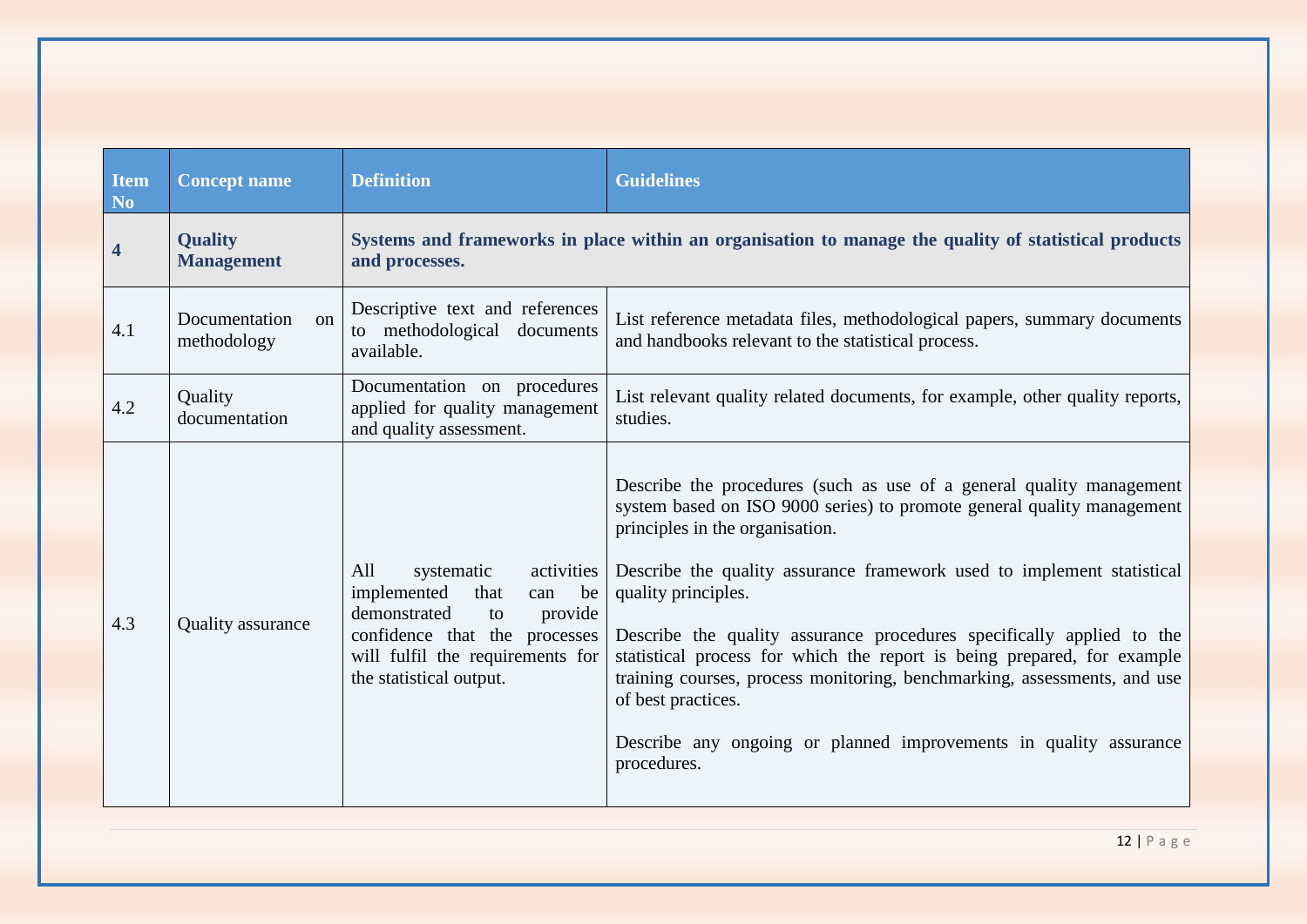<span id="page-11-0"></span>

| Item<br>N <sub>o</sub>  | <b>Concept name</b>                      | <b>Definition</b>                                                                                                                                                                                    | <b>Guidelines</b>                                                                                                                                                                                                                                                                                                                                                                                                                                                                                                                                                                                                            |
|-------------------------|------------------------------------------|------------------------------------------------------------------------------------------------------------------------------------------------------------------------------------------------------|------------------------------------------------------------------------------------------------------------------------------------------------------------------------------------------------------------------------------------------------------------------------------------------------------------------------------------------------------------------------------------------------------------------------------------------------------------------------------------------------------------------------------------------------------------------------------------------------------------------------------|
| $\overline{\mathbf{4}}$ | <b>Quality</b><br><b>Management</b>      | and processes.                                                                                                                                                                                       | Systems and frameworks in place within an organisation to manage the quality of statistical products                                                                                                                                                                                                                                                                                                                                                                                                                                                                                                                         |
| 4.1                     | Documentation<br>$\alpha$<br>methodology | Descriptive text and references<br>to methodological documents<br>available.                                                                                                                         | List reference metadata files, methodological papers, summary documents<br>and handbooks relevant to the statistical process.                                                                                                                                                                                                                                                                                                                                                                                                                                                                                                |
| 4.2                     | Quality<br>documentation                 | Documentation on procedures<br>applied for quality management<br>and quality assessment.                                                                                                             | List relevant quality related documents, for example, other quality reports,<br>studies.                                                                                                                                                                                                                                                                                                                                                                                                                                                                                                                                     |
| 4.3                     | Quality assurance                        | All<br>systematic<br>activities<br>implemented<br>that<br>be<br>can<br>demonstrated<br>provide<br>to<br>confidence that the processes<br>will fulfil the requirements for<br>the statistical output. | Describe the procedures (such as use of a general quality management<br>system based on ISO 9000 series) to promote general quality management<br>principles in the organisation.<br>Describe the quality assurance framework used to implement statistical<br>quality principles.<br>Describe the quality assurance procedures specifically applied to the<br>statistical process for which the report is being prepared, for example<br>training courses, process monitoring, benchmarking, assessments, and use<br>of best practices.<br>Describe any ongoing or planned improvements in quality assurance<br>procedures. |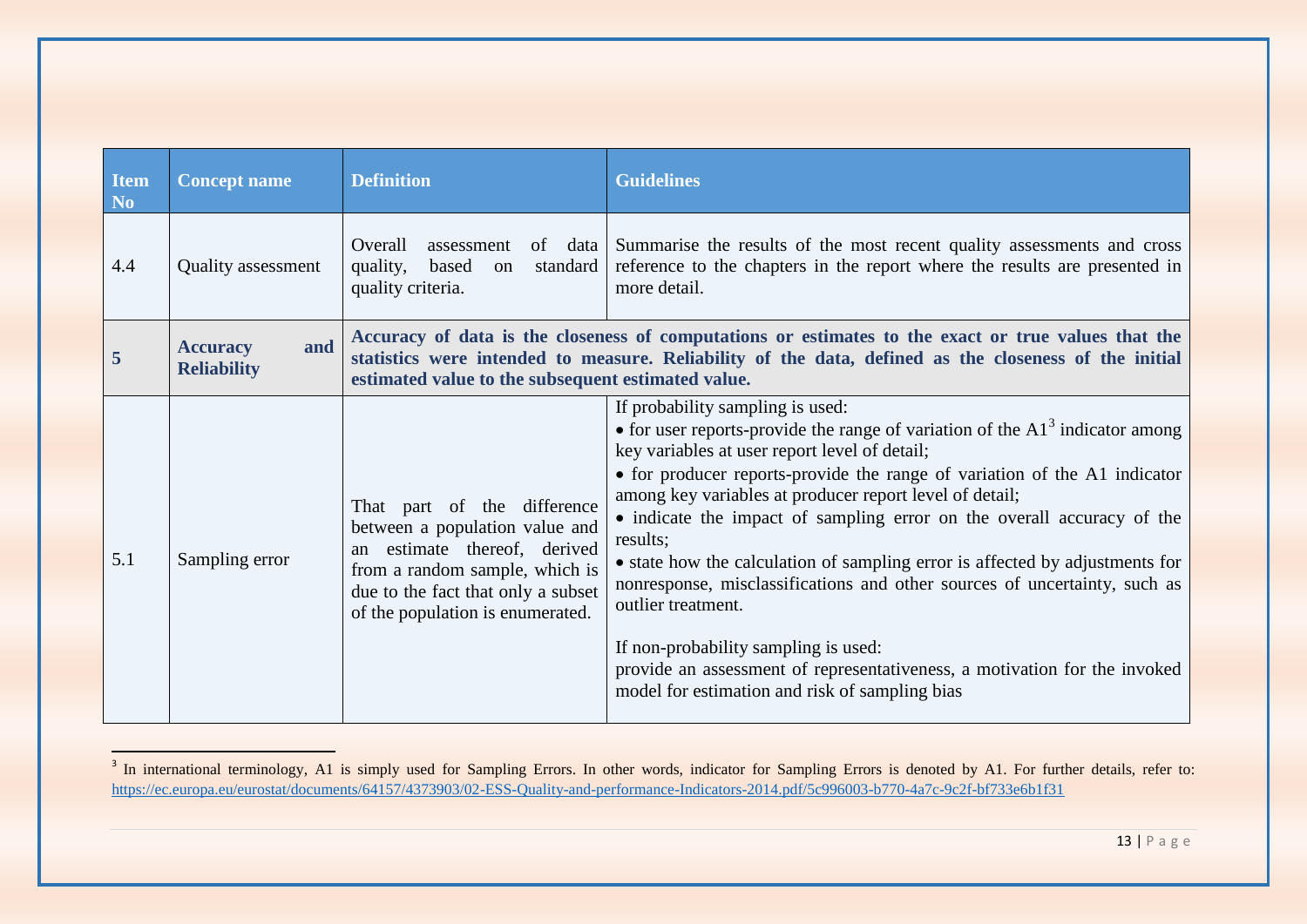| Item<br>N <sub>o</sub> | <b>Concept name</b>                          | <b>Definition</b>                                                                                                                                                                                            | <b>Guidelines</b>                                                                                                                                                                                                                                                                                                                                                                                                                                                                                                                                                                                                                                                                                                                                           |
|------------------------|----------------------------------------------|--------------------------------------------------------------------------------------------------------------------------------------------------------------------------------------------------------------|-------------------------------------------------------------------------------------------------------------------------------------------------------------------------------------------------------------------------------------------------------------------------------------------------------------------------------------------------------------------------------------------------------------------------------------------------------------------------------------------------------------------------------------------------------------------------------------------------------------------------------------------------------------------------------------------------------------------------------------------------------------|
| 4.4                    | <b>Quality</b> assessment                    | Overall<br>of data<br>assessment<br>quality,<br>based<br>standard<br>on<br>quality criteria.                                                                                                                 | Summarise the results of the most recent quality assessments and cross<br>reference to the chapters in the report where the results are presented in<br>more detail.                                                                                                                                                                                                                                                                                                                                                                                                                                                                                                                                                                                        |
| 5                      | and<br><b>Accuracy</b><br><b>Reliability</b> | estimated value to the subsequent estimated value.                                                                                                                                                           | Accuracy of data is the closeness of computations or estimates to the exact or true values that the<br>statistics were intended to measure. Reliability of the data, defined as the closeness of the initial                                                                                                                                                                                                                                                                                                                                                                                                                                                                                                                                                |
| 5.1                    | Sampling error                               | That part of the difference<br>between a population value and<br>estimate thereof, derived<br>an<br>from a random sample, which is<br>due to the fact that only a subset<br>of the population is enumerated. | If probability sampling is used:<br>• for user reports-provide the range of variation of the $A13$ indicator among<br>key variables at user report level of detail;<br>• for producer reports-provide the range of variation of the A1 indicator<br>among key variables at producer report level of detail;<br>• indicate the impact of sampling error on the overall accuracy of the<br>results;<br>• state how the calculation of sampling error is affected by adjustments for<br>nonresponse, misclassifications and other sources of uncertainty, such as<br>outlier treatment.<br>If non-probability sampling is used:<br>provide an assessment of representativeness, a motivation for the invoked<br>model for estimation and risk of sampling bias |

<span id="page-12-0"></span><sup>&</sup>lt;sup>3</sup> In international terminology, A1 is simply used for Sampling Errors. In other words, indicator for Sampling Errors is denoted by A1. For further details, refer to: <https://ec.europa.eu/eurostat/documents/64157/4373903/02-ESS-Quality-and-performance-Indicators-2014.pdf/5c996003-b770-4a7c-9c2f-bf733e6b1f31>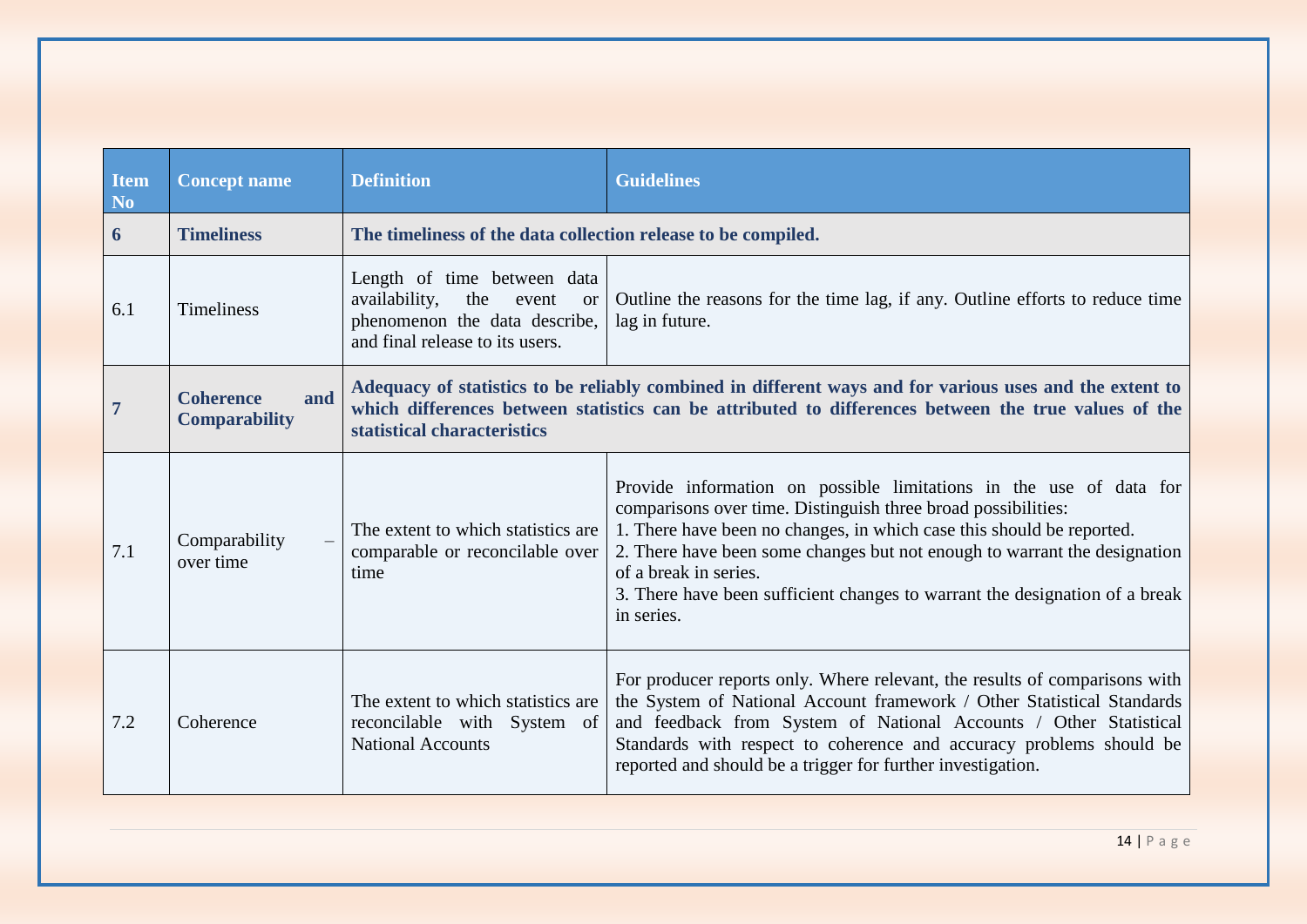<span id="page-13-1"></span><span id="page-13-0"></span>

| <b>Item</b><br>N <sub>0</sub> | <b>Concept name</b>                             | <b>Definition</b>                                                                                                                                 | <b>Guidelines</b>                                                                                                                                                                                                                                                                                                                                                                                               |
|-------------------------------|-------------------------------------------------|---------------------------------------------------------------------------------------------------------------------------------------------------|-----------------------------------------------------------------------------------------------------------------------------------------------------------------------------------------------------------------------------------------------------------------------------------------------------------------------------------------------------------------------------------------------------------------|
| 6                             | <b>Timeliness</b>                               | The timeliness of the data collection release to be compiled.                                                                                     |                                                                                                                                                                                                                                                                                                                                                                                                                 |
| 6.1                           | <b>Timeliness</b>                               | Length of time between data<br>availability,<br>the<br>event<br><sub>or</sub><br>phenomenon the data describe,<br>and final release to its users. | Outline the reasons for the time lag, if any. Outline efforts to reduce time<br>lag in future.                                                                                                                                                                                                                                                                                                                  |
|                               | <b>Coherence</b><br>and<br><b>Comparability</b> | statistical characteristics                                                                                                                       | Adequacy of statistics to be reliably combined in different ways and for various uses and the extent to<br>which differences between statistics can be attributed to differences between the true values of the                                                                                                                                                                                                 |
| 7.1                           | Comparability<br>over time                      | The extent to which statistics are<br>comparable or reconcilable over<br>time                                                                     | Provide information on possible limitations in the use of data for<br>comparisons over time. Distinguish three broad possibilities:<br>1. There have been no changes, in which case this should be reported.<br>2. There have been some changes but not enough to warrant the designation<br>of a break in series.<br>3. There have been sufficient changes to warrant the designation of a break<br>in series. |
| 7.2                           | Coherence                                       | The extent to which statistics are<br>reconcilable with System of<br><b>National Accounts</b>                                                     | For producer reports only. Where relevant, the results of comparisons with<br>the System of National Account framework / Other Statistical Standards<br>and feedback from System of National Accounts / Other Statistical<br>Standards with respect to coherence and accuracy problems should be<br>reported and should be a trigger for further investigation.                                                 |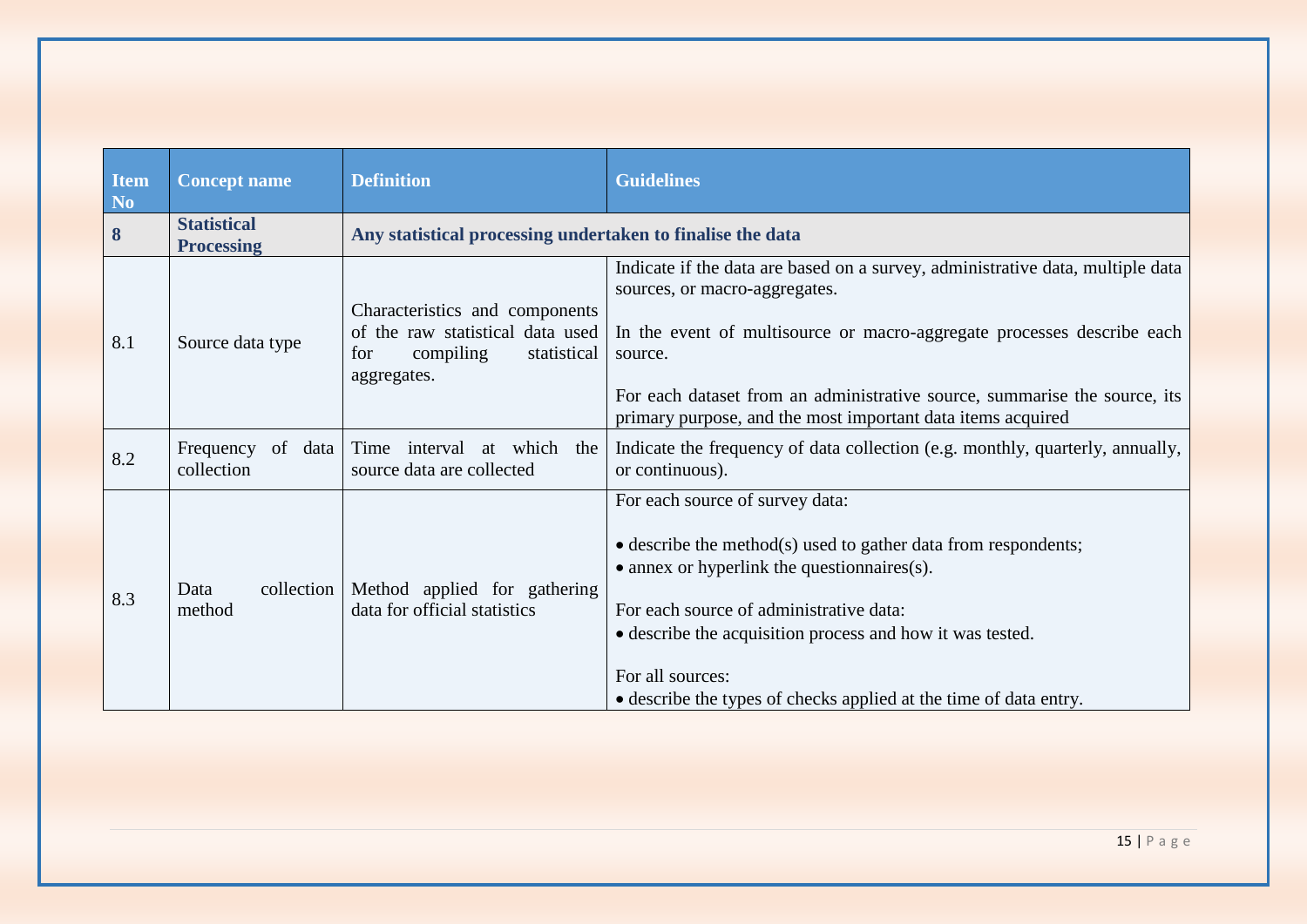<span id="page-14-0"></span>

| <b>Item</b><br>N <sub>0</sub> | <b>Concept name</b>                     | <b>Definition</b>                                                                                                    | <b>Guidelines</b>                                                                                                                                                                                                                                                                                                                                                  |
|-------------------------------|-----------------------------------------|----------------------------------------------------------------------------------------------------------------------|--------------------------------------------------------------------------------------------------------------------------------------------------------------------------------------------------------------------------------------------------------------------------------------------------------------------------------------------------------------------|
| 8                             | <b>Statistical</b><br><b>Processing</b> | Any statistical processing undertaken to finalise the data                                                           |                                                                                                                                                                                                                                                                                                                                                                    |
| 8.1                           | Source data type                        | Characteristics and components<br>of the raw statistical data used<br>compiling<br>statistical<br>for<br>aggregates. | Indicate if the data are based on a survey, administrative data, multiple data<br>sources, or macro-aggregates.<br>In the event of multisource or macro-aggregate processes describe each<br>source.<br>For each dataset from an administrative source, summarise the source, its<br>primary purpose, and the most important data items acquired                   |
| 8.2                           | Frequency<br>of data<br>collection      | interval at which the<br>Time<br>source data are collected                                                           | Indicate the frequency of data collection (e.g. monthly, quarterly, annually,<br>or continuous).                                                                                                                                                                                                                                                                   |
| 8.3                           | collection<br>Data<br>method            | Method applied for gathering<br>data for official statistics                                                         | For each source of survey data:<br>$\bullet$ describe the method(s) used to gather data from respondents;<br>$\bullet$ annex or hyperlink the question naires(s).<br>For each source of administrative data:<br>• describe the acquisition process and how it was tested.<br>For all sources:<br>• describe the types of checks applied at the time of data entry. |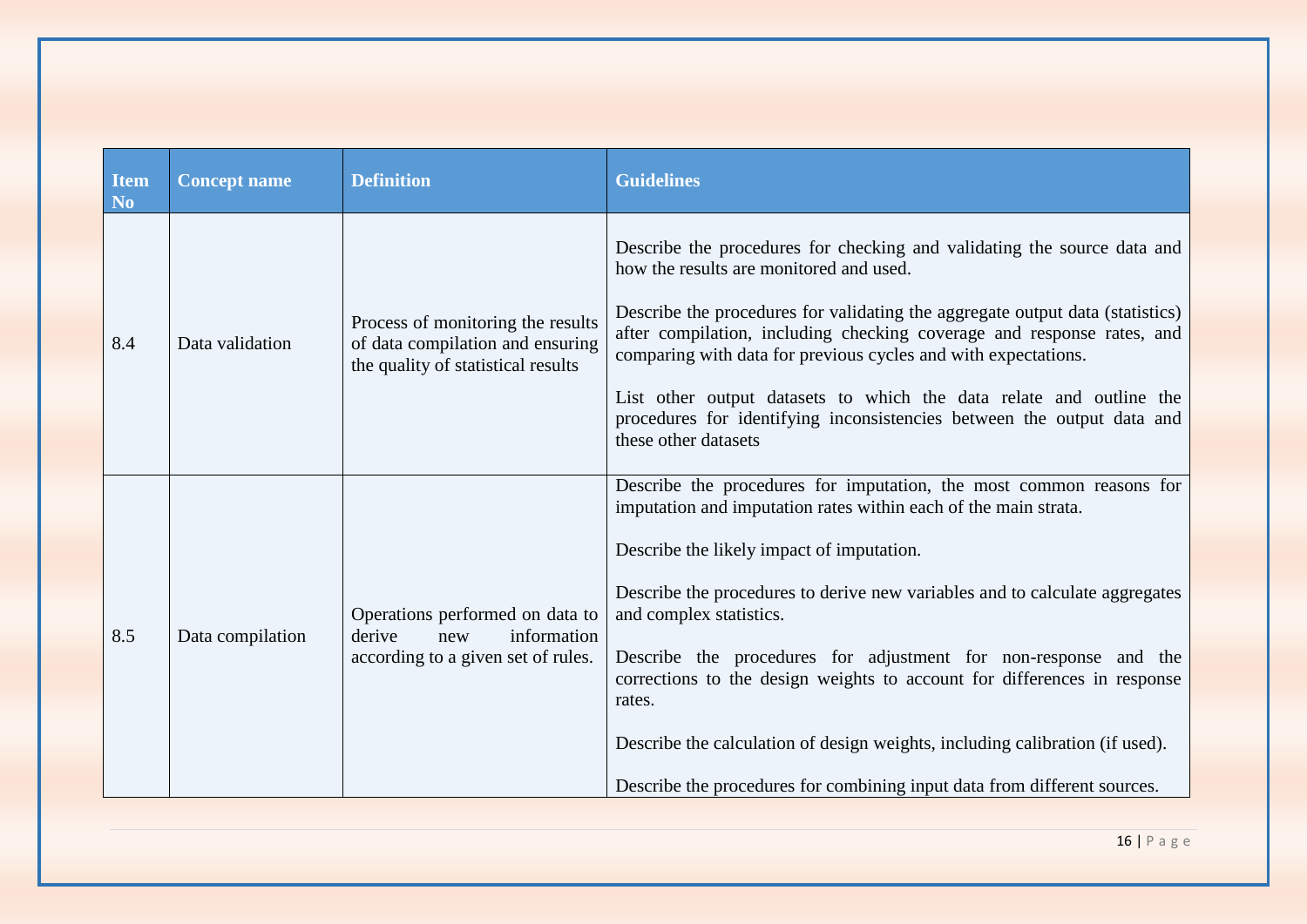| <b>Item</b><br><b>No</b> | <b>Concept name</b> | <b>Definition</b>                                                                                           | <b>Guidelines</b>                                                                                                                                                                                                                                                                                                                                                                                                                                                                                                                                                                                                  |
|--------------------------|---------------------|-------------------------------------------------------------------------------------------------------------|--------------------------------------------------------------------------------------------------------------------------------------------------------------------------------------------------------------------------------------------------------------------------------------------------------------------------------------------------------------------------------------------------------------------------------------------------------------------------------------------------------------------------------------------------------------------------------------------------------------------|
| 8.4                      | Data validation     | Process of monitoring the results<br>of data compilation and ensuring<br>the quality of statistical results | Describe the procedures for checking and validating the source data and<br>how the results are monitored and used.<br>Describe the procedures for validating the aggregate output data (statistics)<br>after compilation, including checking coverage and response rates, and<br>comparing with data for previous cycles and with expectations.<br>List other output datasets to which the data relate and outline the<br>procedures for identifying inconsistencies between the output data and<br>these other datasets                                                                                           |
| 8.5                      | Data compilation    | Operations performed on data to<br>derive<br>information<br>new<br>according to a given set of rules.       | Describe the procedures for imputation, the most common reasons for<br>imputation and imputation rates within each of the main strata.<br>Describe the likely impact of imputation.<br>Describe the procedures to derive new variables and to calculate aggregates<br>and complex statistics.<br>Describe the procedures for adjustment for non-response and the<br>corrections to the design weights to account for differences in response<br>rates.<br>Describe the calculation of design weights, including calibration (if used).<br>Describe the procedures for combining input data from different sources. |